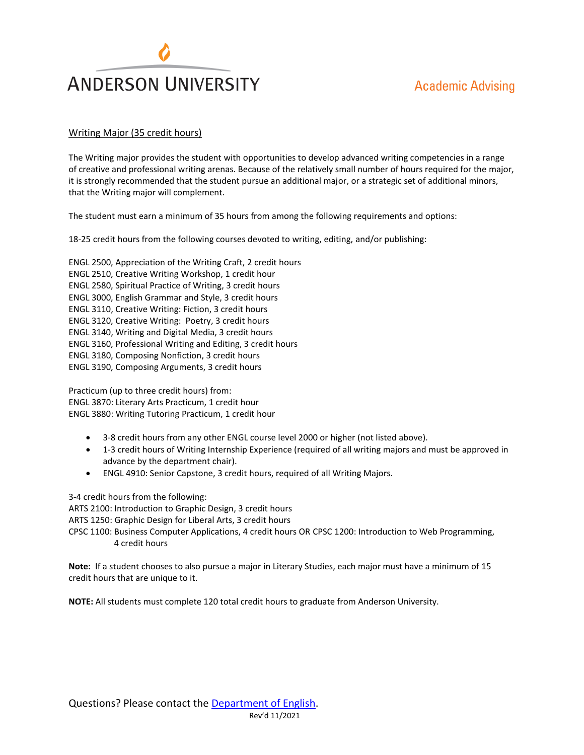## **Academic Advising**



## Writing Major (35 credit hours)

The Writing major provides the student with opportunities to develop advanced writing competencies in a range of creative and professional writing arenas. Because of the relatively small number of hours required for the major, it is strongly recommended that the student pursue an additional major, or a strategic set of additional minors, that the Writing major will complement.

The student must earn a minimum of 35 hours from among the following requirements and options:

18-25 credit hours from the following courses devoted to writing, editing, and/or publishing:

ENGL 2500, Appreciation of the Writing Craft, 2 credit hours ENGL 2510, Creative Writing Workshop, 1 credit hour ENGL 2580, Spiritual Practice of Writing, 3 credit hours ENGL 3000, English Grammar and Style, 3 credit hours ENGL 3110, Creative Writing: Fiction, 3 credit hours ENGL 3120, Creative Writing: Poetry, 3 credit hours ENGL 3140, Writing and Digital Media, 3 credit hours ENGL 3160, Professional Writing and Editing, 3 credit hours ENGL 3180, Composing Nonfiction, 3 credit hours ENGL 3190, Composing Arguments, 3 credit hours

Practicum (up to three credit hours) from: ENGL 3870: Literary Arts Practicum, 1 credit hour ENGL 3880: Writing Tutoring Practicum, 1 credit hour

- 3-8 credit hours from any other ENGL course level 2000 or higher (not listed above).
- 1-3 credit hours of Writing Internship Experience (required of all writing majors and must be approved in advance by the department chair).
- ENGL 4910: Senior Capstone, 3 credit hours, required of all Writing Majors.

3-4 credit hours from the following:

ARTS 2100: Introduction to Graphic Design, 3 credit hours

ARTS 1250: Graphic Design for Liberal Arts, 3 credit hours

CPSC 1100: Business Computer Applications, 4 credit hours OR CPSC 1200: Introduction to Web Programming, 4 credit hours

**Note:** If a student chooses to also pursue a major in Literary Studies, each major must have a minimum of 15 credit hours that are unique to it.

**NOTE:** All students must complete 120 total credit hours to graduate from Anderson University.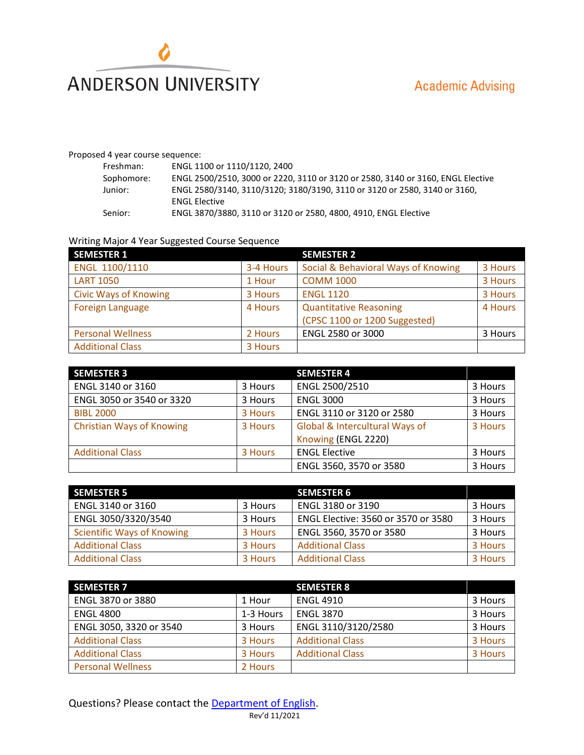

## Proposed 4 year course sequence:

| Freshman:  | ENGL 1100 or 1110/1120, 2400                                                    |
|------------|---------------------------------------------------------------------------------|
| Sophomore: | ENGL 2500/2510, 3000 or 2220, 3110 or 3120 or 2580, 3140 or 3160, ENGL Elective |
| Junior:    | ENGL 2580/3140, 3110/3120; 3180/3190, 3110 or 3120 or 2580, 3140 or 3160,       |
|            | <b>ENGL Elective</b>                                                            |
| Senior:    | ENGL 3870/3880, 3110 or 3120 or 2580, 4800, 4910, ENGL Elective                 |

## Writing Major 4 Year Suggested Course Sequence

| <b>SEMESTER 1</b>            |           | <b>SEMESTER 2</b>                   |         |
|------------------------------|-----------|-------------------------------------|---------|
| ENGL 1100/1110               | 3-4 Hours | Social & Behavioral Ways of Knowing | 3 Hours |
| <b>LART 1050</b>             | 1 Hour    | <b>COMM 1000</b>                    | 3 Hours |
| <b>Civic Ways of Knowing</b> | 3 Hours   | <b>ENGL 1120</b>                    | 3 Hours |
| <b>Foreign Language</b>      | 4 Hours   | <b>Quantitative Reasoning</b>       | 4 Hours |
|                              |           | (CPSC 1100 or 1200 Suggested)       |         |
| <b>Personal Wellness</b>     | 2 Hours   | ENGL 2580 or 3000                   | 3 Hours |
| <b>Additional Class</b>      | 3 Hours   |                                     |         |

| <b>SEMESTER 3</b>                |         | <b>SEMESTER 4</b>              |         |
|----------------------------------|---------|--------------------------------|---------|
| ENGL 3140 or 3160                | 3 Hours | ENGL 2500/2510                 | 3 Hours |
| ENGL 3050 or 3540 or 3320        | 3 Hours | <b>ENGL 3000</b>               | 3 Hours |
| <b>BIBL 2000</b>                 | 3 Hours | ENGL 3110 or 3120 or 2580      | 3 Hours |
| <b>Christian Ways of Knowing</b> | 3 Hours | Global & Intercultural Ways of | 3 Hours |
|                                  |         | Knowing (ENGL 2220)            |         |
| <b>Additional Class</b>          | 3 Hours | <b>ENGL Elective</b>           | 3 Hours |
|                                  |         | ENGL 3560, 3570 or 3580        | 3 Hours |

| <b>SEMESTER 5</b>                 |         | <b>SEMESTER 6</b>                   |         |
|-----------------------------------|---------|-------------------------------------|---------|
| ENGL 3140 or 3160                 | 3 Hours | ENGL 3180 or 3190                   | 3 Hours |
| ENGL 3050/3320/3540               | 3 Hours | ENGL Elective: 3560 or 3570 or 3580 | 3 Hours |
| <b>Scientific Ways of Knowing</b> | 3 Hours | ENGL 3560, 3570 or 3580             | 3 Hours |
| <b>Additional Class</b>           | 3 Hours | <b>Additional Class</b>             | 3 Hours |
| <b>Additional Class</b>           | 3 Hours | <b>Additional Class</b>             | 3 Hours |

| <b>SEMESTER 7</b>        |           | <b>SEMESTER 8</b>       |         |
|--------------------------|-----------|-------------------------|---------|
| ENGL 3870 or 3880        | 1 Hour    | <b>ENGL 4910</b>        | 3 Hours |
| <b>ENGL 4800</b>         | 1-3 Hours | <b>ENGL 3870</b>        | 3 Hours |
| ENGL 3050, 3320 or 3540  | 3 Hours   | ENGL 3110/3120/2580     | 3 Hours |
| <b>Additional Class</b>  | 3 Hours   | <b>Additional Class</b> | 3 Hours |
| <b>Additional Class</b>  | 3 Hours   | <b>Additional Class</b> | 3 Hours |
| <b>Personal Wellness</b> | 2 Hours   |                         |         |